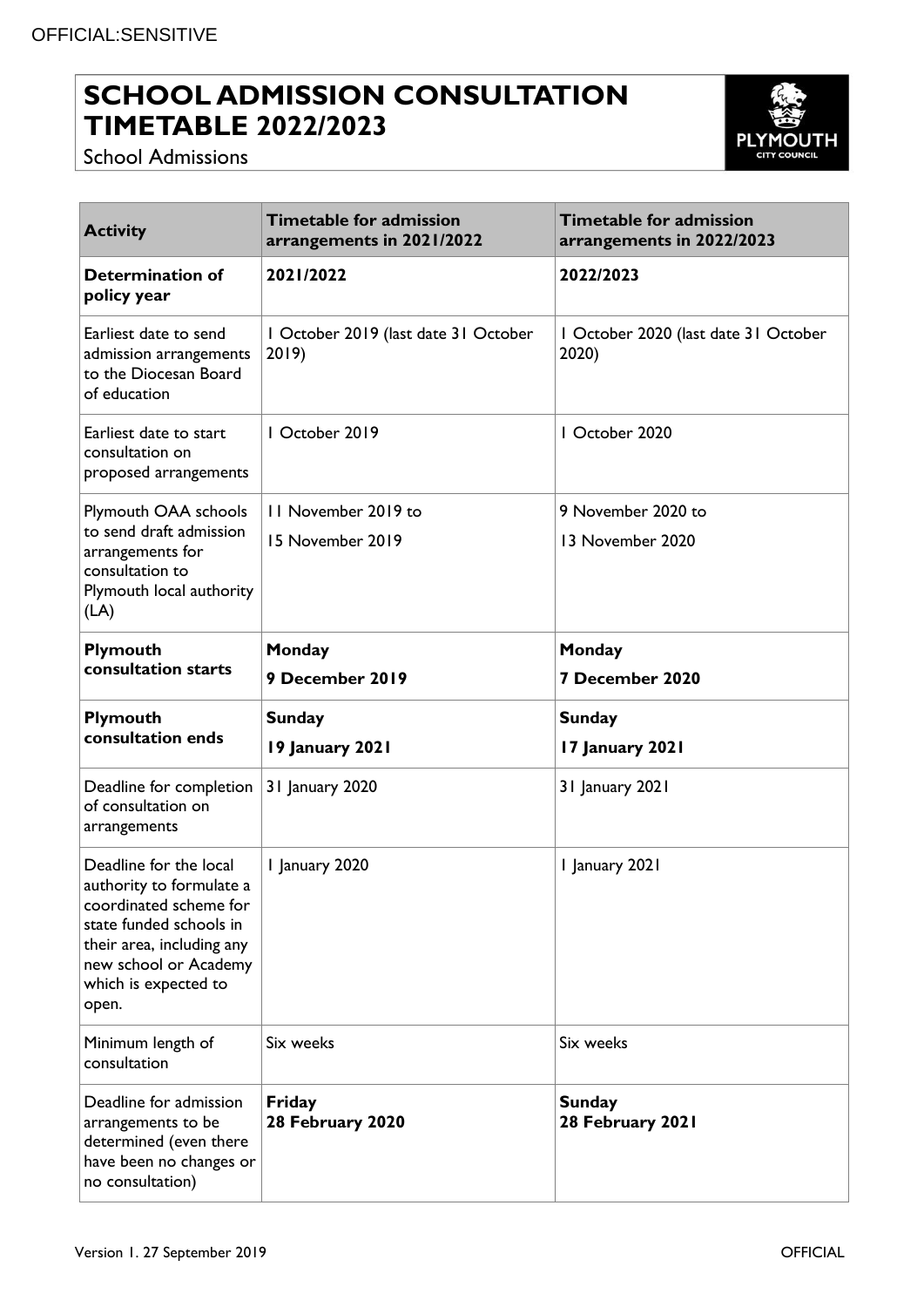## **SCHOOL ADMISSION CONSULTATION TIMETABLE 2022/2023**



School Admissions

| <b>Activity</b>                                                                                                                                                                                | <b>Timetable for admission</b><br>arrangements in 2021/2022 | Timetable for admission<br>arrangements in 2022/2023 |  |
|------------------------------------------------------------------------------------------------------------------------------------------------------------------------------------------------|-------------------------------------------------------------|------------------------------------------------------|--|
| <b>Determination of</b><br>policy year                                                                                                                                                         | 2021/2022                                                   | 2022/2023                                            |  |
| Earliest date to send<br>admission arrangements<br>to the Diocesan Board<br>of education                                                                                                       | I October 2019 (last date 31 October<br>2019                | I October 2020 (last date 31 October<br>2020)        |  |
| Earliest date to start<br>consultation on<br>proposed arrangements                                                                                                                             | I October 2019                                              | I October 2020                                       |  |
| Plymouth OAA schools<br>to send draft admission<br>arrangements for<br>consultation to<br>Plymouth local authority<br>(LA)                                                                     | 11 November 2019 to<br>15 November 2019                     | 9 November 2020 to<br>13 November 2020               |  |
| Plymouth<br>consultation starts                                                                                                                                                                | Monday                                                      | Monday                                               |  |
|                                                                                                                                                                                                | 9 December 2019                                             | 7 December 2020                                      |  |
| Plymouth<br>consultation ends                                                                                                                                                                  | <b>Sunday</b><br>19 January 2021                            | <b>Sunday</b><br>17 January 2021                     |  |
| Deadline for completion<br>of consultation on<br>arrangements                                                                                                                                  | 31 January 2020                                             | 31 January 2021                                      |  |
| Deadline for the local<br>authority to formulate a<br>coordinated scheme for<br>state funded schools in<br>their area, including any<br>new school or Academy<br>which is expected to<br>open. | 1 January 2020                                              | I January 2021                                       |  |
| Minimum length of<br>consultation                                                                                                                                                              | Six weeks                                                   | Six weeks                                            |  |
| Deadline for admission<br>arrangements to be<br>determined (even there<br>have been no changes or<br>no consultation)                                                                          | Friday<br>28 February 2020                                  | <b>Sunday</b><br>28 February 2021                    |  |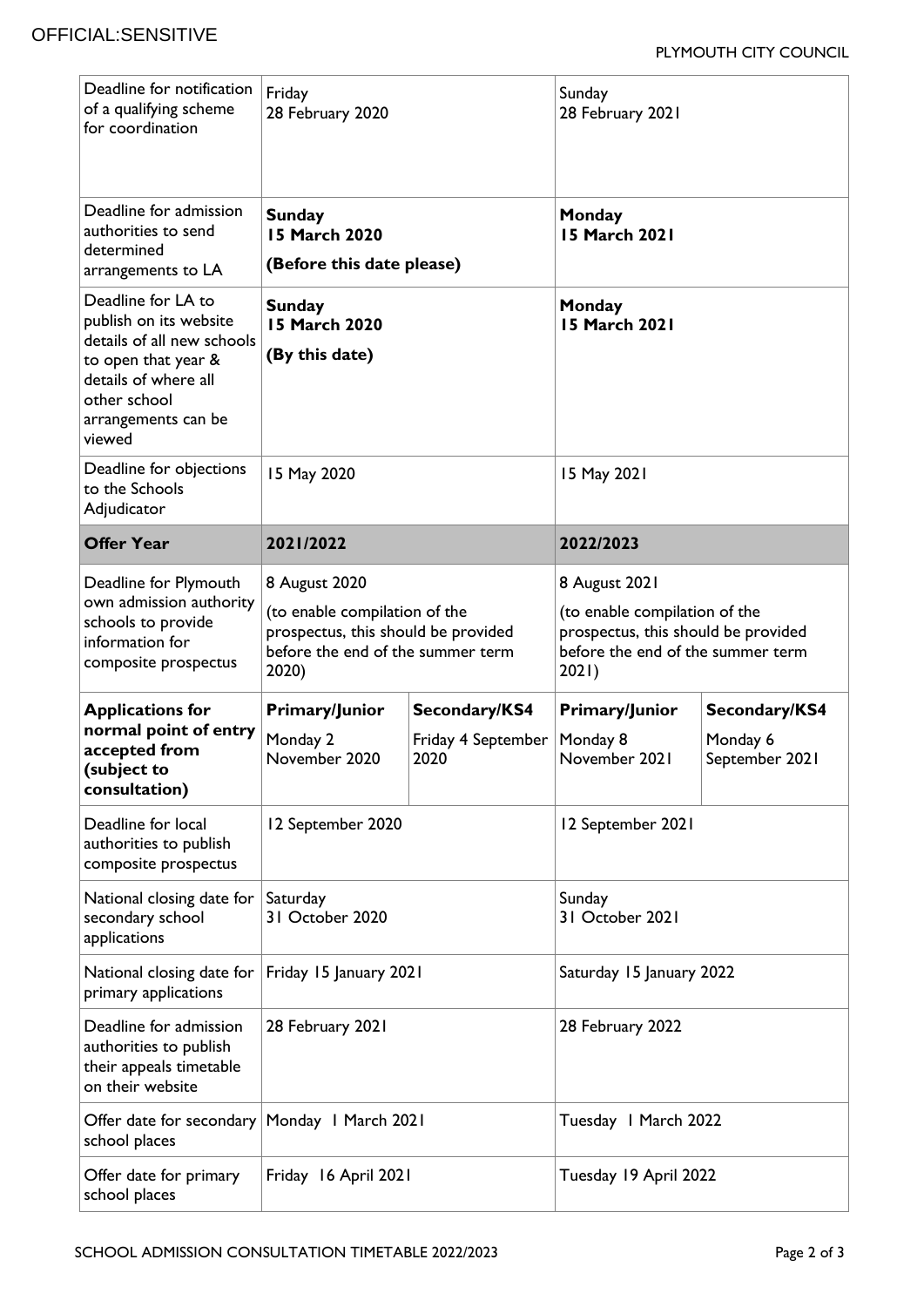| Deadline for notification<br>of a qualifying scheme<br>for coordination                                                                                                    | Friday<br>28 February 2020                                                                                                          |                                             | Sunday<br>28 February 2021                                                                                                          |                                             |
|----------------------------------------------------------------------------------------------------------------------------------------------------------------------------|-------------------------------------------------------------------------------------------------------------------------------------|---------------------------------------------|-------------------------------------------------------------------------------------------------------------------------------------|---------------------------------------------|
| Deadline for admission<br>authorities to send<br>determined<br>arrangements to LA                                                                                          | <b>Sunday</b><br>15 March 2020<br>(Before this date please)                                                                         |                                             | Monday<br>15 March 2021                                                                                                             |                                             |
| Deadline for LA to<br>publish on its website<br>details of all new schools<br>to open that year &<br>details of where all<br>other school<br>arrangements can be<br>viewed | <b>Sunday</b><br><b>15 March 2020</b><br>(By this date)                                                                             |                                             | Monday<br><b>15 March 2021</b>                                                                                                      |                                             |
| Deadline for objections<br>to the Schools<br>Adjudicator                                                                                                                   | 15 May 2020                                                                                                                         |                                             | 15 May 2021                                                                                                                         |                                             |
| <b>Offer Year</b>                                                                                                                                                          | 2021/2022                                                                                                                           |                                             | 2022/2023                                                                                                                           |                                             |
| Deadline for Plymouth<br>own admission authority<br>schools to provide<br>information for<br>composite prospectus                                                          | 8 August 2020<br>(to enable compilation of the<br>prospectus, this should be provided<br>before the end of the summer term<br>2020) |                                             | 8 August 2021<br>(to enable compilation of the<br>prospectus, this should be provided<br>before the end of the summer term<br>2021) |                                             |
| <b>Applications for</b><br>normal point of entry<br>accepted from<br>(subject to<br>consultation)                                                                          | Primary/Junior<br>Monday 2<br>November 2020                                                                                         | Secondary/KS4<br>Friday 4 September<br>2020 | Primary/Junior<br>Monday 8<br>November 2021                                                                                         | Secondary/KS4<br>Monday 6<br>September 2021 |
| Deadline for local<br>authorities to publish<br>composite prospectus                                                                                                       | 12 September 2020                                                                                                                   |                                             | 12 September 2021                                                                                                                   |                                             |
| National closing date for<br>secondary school<br>applications                                                                                                              | Saturday<br>31 October 2020                                                                                                         |                                             | Sunday<br>31 October 2021                                                                                                           |                                             |
| National closing date for $ $<br>primary applications                                                                                                                      | Friday 15 January 2021                                                                                                              |                                             | Saturday 15 January 2022                                                                                                            |                                             |
| Deadline for admission<br>authorities to publish<br>their appeals timetable<br>on their website                                                                            | 28 February 2021                                                                                                                    |                                             | 28 February 2022                                                                                                                    |                                             |
| Offer date for secondary   Monday   March 2021<br>school places                                                                                                            |                                                                                                                                     |                                             | Tuesday I March 2022                                                                                                                |                                             |
| Offer date for primary<br>school places                                                                                                                                    | Friday 16 April 2021                                                                                                                |                                             | Tuesday 19 April 2022                                                                                                               |                                             |